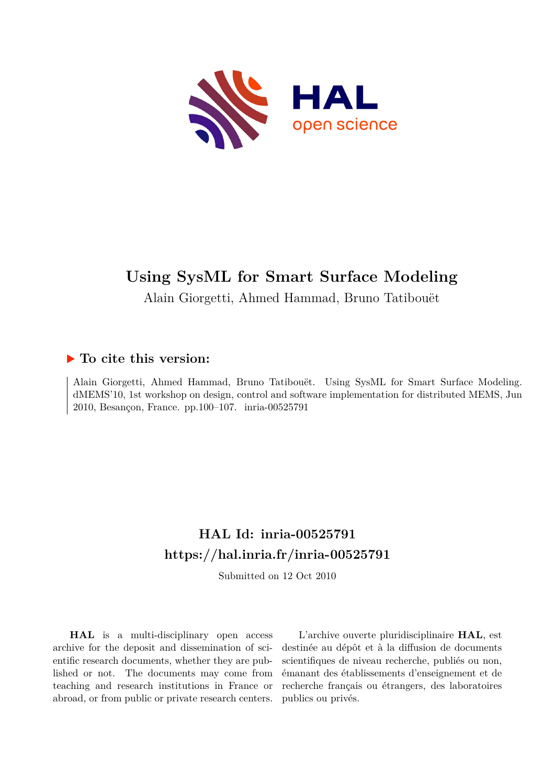

# **Using SysML for Smart Surface Modeling**

Alain Giorgetti, Ahmed Hammad, Bruno Tatibouët

### **To cite this version:**

Alain Giorgetti, Ahmed Hammad, Bruno Tatibouët. Using SysML for Smart Surface Modeling. dMEMS'10, 1st workshop on design, control and software implementation for distributed MEMS, Jun 2010, Besançon, France. pp.100–107. inria-00525791

## **HAL Id: inria-00525791 <https://hal.inria.fr/inria-00525791>**

Submitted on 12 Oct 2010

**HAL** is a multi-disciplinary open access archive for the deposit and dissemination of scientific research documents, whether they are published or not. The documents may come from teaching and research institutions in France or abroad, or from public or private research centers.

L'archive ouverte pluridisciplinaire **HAL**, est destinée au dépôt et à la diffusion de documents scientifiques de niveau recherche, publiés ou non, émanant des établissements d'enseignement et de recherche français ou étrangers, des laboratoires publics ou privés.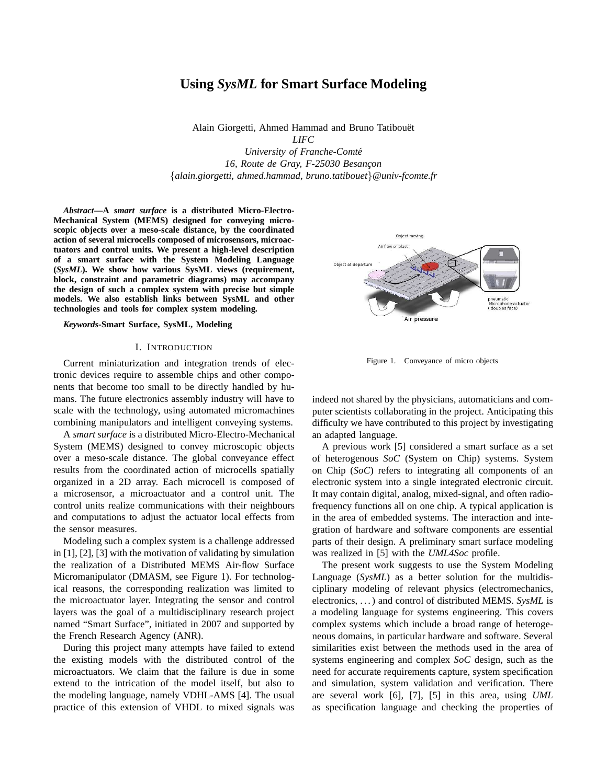### **Using** *SysML* **for Smart Surface Modeling**

Alain Giorgetti, Ahmed Hammad and Bruno Tatibouët *LIFC University of Franche-Comte´*

16, Route de Gray, F-25030 Besançon {*alain.giorgetti, ahmed.hammad, bruno.tatibouet*}*@univ-fcomte.fr*

*Abstract***—A** *smart surface* **is a distributed Micro-Electro-Mechanical System (MEMS) designed for conveying microscopic objects over a meso-scale distance, by the coordinated action of several microcells composed of microsensors, microactuators and control units. We present a high-level description of a smart surface with the System Modeling Language (***SysML***). We show how various SysML views (requirement, block, constraint and parametric diagrams) may accompany the design of such a complex system with precise but simple models. We also establish links between SysML and other technologies and tools for complex system modeling.**

*Keywords***-Smart Surface, SysML, Modeling**

#### I. INTRODUCTION

Current miniaturization and integration trends of electronic devices require to assemble chips and other components that become too small to be directly handled by humans. The future electronics assembly industry will have to scale with the technology, using automated micromachines combining manipulators and intelligent conveying systems.

A *smart surface* is a distributed Micro-Electro-Mechanical System (MEMS) designed to convey microscopic objects over a meso-scale distance. The global conveyance effect results from the coordinated action of microcells spatially organized in a 2D array. Each microcell is composed of a microsensor, a microactuator and a control unit. The control units realize communications with their neighbours and computations to adjust the actuator local effects from the sensor measures.

Modeling such a complex system is a challenge addressed in [1], [2], [3] with the motivation of validating by simulation the realization of a Distributed MEMS Air-flow Surface Micromanipulator (DMASM, see Figure 1). For technological reasons, the corresponding realization was limited to the microactuator layer. Integrating the sensor and control layers was the goal of a multidisciplinary research project named "Smart Surface", initiated in 2007 and supported by the French Research Agency (ANR).

During this project many attempts have failed to extend the existing models with the distributed control of the microactuators. We claim that the failure is due in some extend to the intrication of the model itself, but also to the modeling language, namely VDHL-AMS [4]. The usual practice of this extension of VHDL to mixed signals was



Figure 1. Conveyance of micro objects

indeed not shared by the physicians, automaticians and computer scientists collaborating in the project. Anticipating this difficulty we have contributed to this project by investigating an adapted language.

A previous work [5] considered a smart surface as a set of heterogenous *SoC* (System on Chip) systems. System on Chip (*SoC*) refers to integrating all components of an electronic system into a single integrated electronic circuit. It may contain digital, analog, mixed-signal, and often radiofrequency functions all on one chip. A typical application is in the area of embedded systems. The interaction and integration of hardware and software components are essential parts of their design. A preliminary smart surface modeling was realized in [5] with the *UML4Soc* profile.

The present work suggests to use the System Modeling Language (*SysML*) as a better solution for the multidisciplinary modeling of relevant physics (electromechanics, electronics, . . . ) and control of distributed MEMS. *SysML* is a modeling language for systems engineering. This covers complex systems which include a broad range of heterogeneous domains, in particular hardware and software. Several similarities exist between the methods used in the area of systems engineering and complex *SoC* design, such as the need for accurate requirements capture, system specification and simulation, system validation and verification. There are several work [6], [7], [5] in this area, using *UML* as specification language and checking the properties of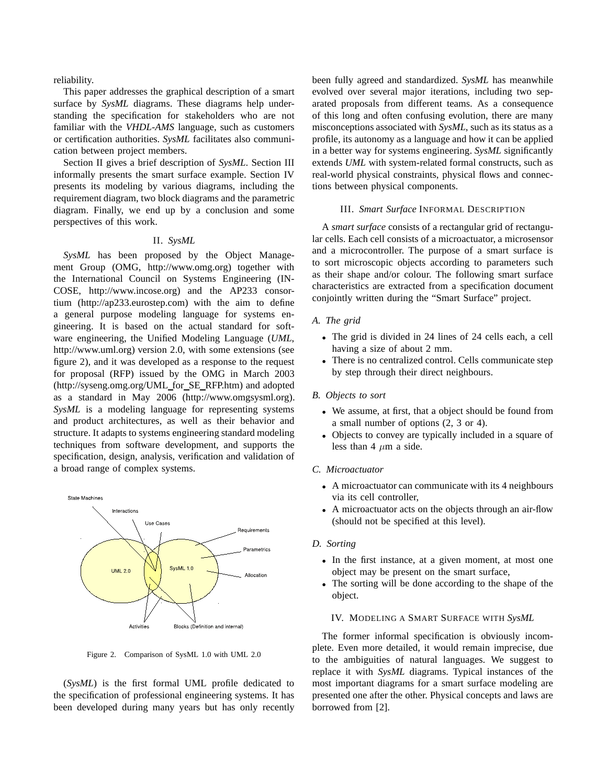reliability.

This paper addresses the graphical description of a smart surface by *SysML* diagrams. These diagrams help understanding the specification for stakeholders who are not familiar with the *VHDL-AMS* language, such as customers or certification authorities. *SysML* facilitates also communication between project members.

Section II gives a brief description of *SysML*. Section III informally presents the smart surface example. Section IV presents its modeling by various diagrams, including the requirement diagram, two block diagrams and the parametric diagram. Finally, we end up by a conclusion and some perspectives of this work.

#### II. *SysML*

*SysML* has been proposed by the Object Management Group (OMG, http://www.omg.org) together with the International Council on Systems Engineering (IN-COSE, http://www.incose.org) and the AP233 consortium (http://ap233.eurostep.com) with the aim to define a general purpose modeling language for systems engineering. It is based on the actual standard for software engineering, the Unified Modeling Language (*UML*, http://www.uml.org) version 2.0, with some extensions (see figure 2), and it was developed as a response to the request for proposal (RFP) issued by the OMG in March 2003 (http://syseng.omg.org/UML for SE RFP.htm) and adopted as a standard in May 2006 (http://www.omgsysml.org). *SysML* is a modeling language for representing systems and product architectures, as well as their behavior and structure. It adapts to systems engineering standard modeling techniques from software development, and supports the specification, design, analysis, verification and validation of a broad range of complex systems.



Figure 2. Comparison of SysML 1.0 with UML 2.0

(*SysML*) is the first formal UML profile dedicated to the specification of professional engineering systems. It has been developed during many years but has only recently been fully agreed and standardized. *SysML* has meanwhile evolved over several major iterations, including two separated proposals from different teams. As a consequence of this long and often confusing evolution, there are many misconceptions associated with *SysML*, such as its status as a profile, its autonomy as a language and how it can be applied in a better way for systems engineering. *SysML* significantly extends *UML* with system-related formal constructs, such as real-world physical constraints, physical flows and connections between physical components.

#### III. *Smart Surface* INFORMAL DESCRIPTION

A *smart surface* consists of a rectangular grid of rectangular cells. Each cell consists of a microactuator, a microsensor and a microcontroller. The purpose of a smart surface is to sort microscopic objects according to parameters such as their shape and/or colour. The following smart surface characteristics are extracted from a specification document conjointly written during the "Smart Surface" project.

#### *A. The grid*

- The grid is divided in 24 lines of 24 cells each, a cell having a size of about 2 mm.
- There is no centralized control. Cells communicate step by step through their direct neighbours.

#### *B. Objects to sort*

- We assume, at first, that a object should be found from a small number of options (2, 3 or 4).
- Objects to convey are typically included in a square of less than 4  $\mu$ m a side.

#### *C. Microactuator*

- A microactuator can communicate with its 4 neighbours via its cell controller,
- A microactuator acts on the objects through an air-flow (should not be specified at this level).

#### *D. Sorting*

- In the first instance, at a given moment, at most one object may be present on the smart surface,
- The sorting will be done according to the shape of the object.

#### IV. MODELING A SMART SURFACE WITH *SysML*

The former informal specification is obviously incomplete. Even more detailed, it would remain imprecise, due to the ambiguities of natural languages. We suggest to replace it with *SysML* diagrams. Typical instances of the most important diagrams for a smart surface modeling are presented one after the other. Physical concepts and laws are borrowed from [2].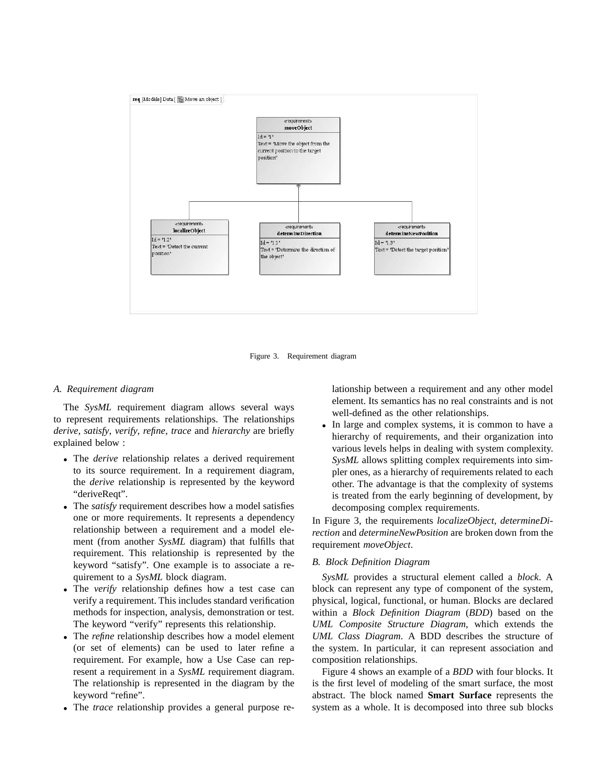

Figure 3. Requirement diagram

#### *A. Requirement diagram*

The *SysML* requirement diagram allows several ways to represent requirements relationships. The relationships *derive*, *satisfy*, *verify*, *refine*, *trace* and *hierarchy* are briefly explained below :

- The *derive* relationship relates a derived requirement to its source requirement. In a requirement diagram, the *derive* relationship is represented by the keyword "deriveReqt".
- The *satisfy* requirement describes how a model satisfies one or more requirements. It represents a dependency relationship between a requirement and a model element (from another *SysML* diagram) that fulfills that requirement. This relationship is represented by the keyword "satisfy". One example is to associate a requirement to a *SysML* block diagram.
- The *verify* relationship defines how a test case can verify a requirement. This includes standard verification methods for inspection, analysis, demonstration or test. The keyword "verify" represents this relationship.
- The *refine* relationship describes how a model element (or set of elements) can be used to later refine a requirement. For example, how a Use Case can represent a requirement in a *SysML* requirement diagram. The relationship is represented in the diagram by the keyword "refine".
- The *trace* relationship provides a general purpose re-

lationship between a requirement and any other model element. Its semantics has no real constraints and is not well-defined as the other relationships.

• In large and complex systems, it is common to have a hierarchy of requirements, and their organization into various levels helps in dealing with system complexity. *SysML* allows splitting complex requirements into simpler ones, as a hierarchy of requirements related to each other. The advantage is that the complexity of systems is treated from the early beginning of development, by decomposing complex requirements.

In Figure 3, the requirements *localizeObject*, *determineDirection* and *determineNewPosition* are broken down from the requirement *moveObject*.

#### *B. Block Definition Diagram*

*SysML* provides a structural element called a *block*. A block can represent any type of component of the system, physical, logical, functional, or human. Blocks are declared within a *Block Definition Diagram* (*BDD*) based on the *UML Composite Structure Diagram*, which extends the *UML Class Diagram*. A BDD describes the structure of the system. In particular, it can represent association and composition relationships.

Figure 4 shows an example of a *BDD* with four blocks. It is the first level of modeling of the smart surface, the most abstract. The block named **Smart Surface** represents the system as a whole. It is decomposed into three sub blocks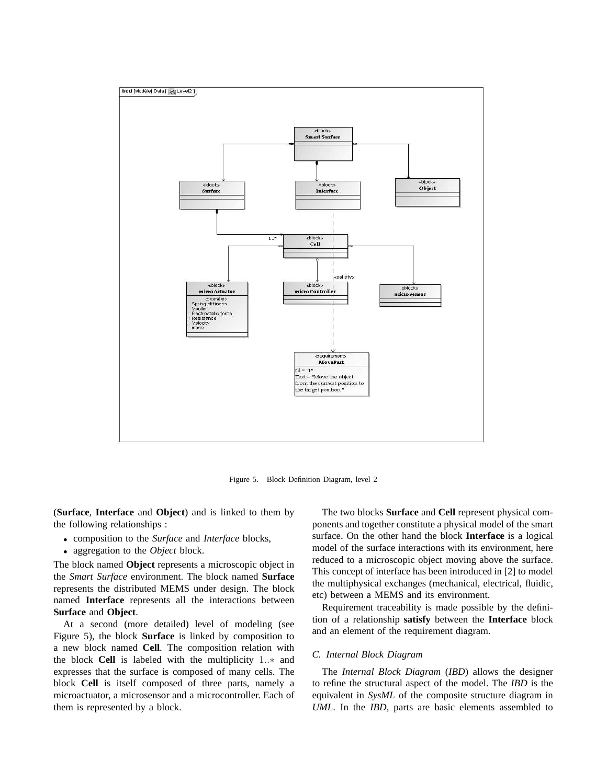

Figure 5. Block Definition Diagram, level 2

(**Surface**, **Interface** and **Object**) and is linked to them by the following relationships :

- composition to the *Surface* and *Interface* blocks,
- aggregation to the *Object* block.

The block named **Object** represents a microscopic object in the *Smart Surface* environment. The block named **Surface** represents the distributed MEMS under design. The block named **Interface** represents all the interactions between **Surface** and **Object**.

At a second (more detailed) level of modeling (see Figure 5), the block **Surface** is linked by composition to a new block named **Cell**. The composition relation with the block **Cell** is labeled with the multiplicity 1..∗ and expresses that the surface is composed of many cells. The block **Cell** is itself composed of three parts, namely a microactuator, a microsensor and a microcontroller. Each of them is represented by a block.

The two blocks **Surface** and **Cell** represent physical components and together constitute a physical model of the smart surface. On the other hand the block **Interface** is a logical model of the surface interactions with its environment, here reduced to a microscopic object moving above the surface. This concept of interface has been introduced in [2] to model the multiphysical exchanges (mechanical, electrical, fluidic, etc) between a MEMS and its environment.

Requirement traceability is made possible by the definition of a relationship **satisfy** between the **Interface** block and an element of the requirement diagram.

#### *C. Internal Block Diagram*

The *Internal Block Diagram* (*IBD*) allows the designer to refine the structural aspect of the model. The *IBD* is the equivalent in *SysML* of the composite structure diagram in *UML*. In the *IBD*, parts are basic elements assembled to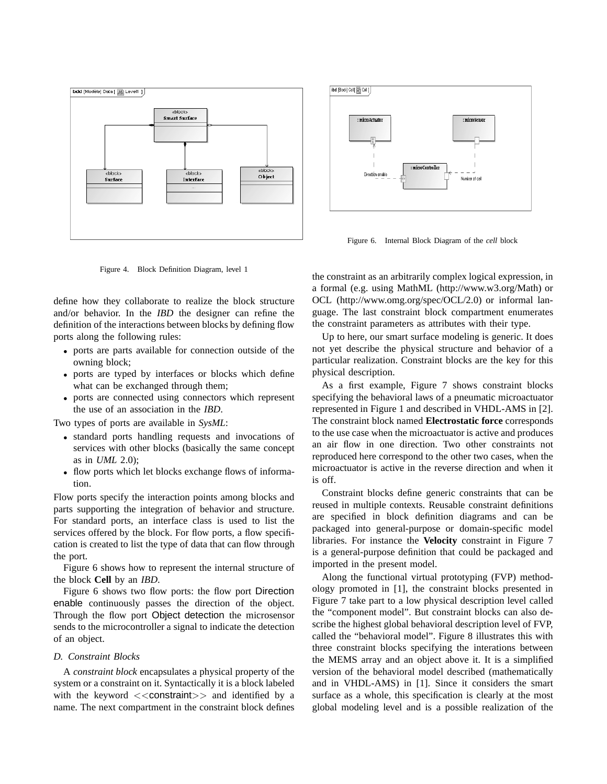

Figure 4. Block Definition Diagram, level 1

define how they collaborate to realize the block structure and/or behavior. In the *IBD* the designer can refine the definition of the interactions between blocks by defining flow ports along the following rules:

- ports are parts available for connection outside of the owning block;
- ports are typed by interfaces or blocks which define what can be exchanged through them;
- ports are connected using connectors which represent the use of an association in the *IBD*.

Two types of ports are available in *SysML*:

- standard ports handling requests and invocations of services with other blocks (basically the same concept as in *UML* 2.0);
- flow ports which let blocks exchange flows of information.

Flow ports specify the interaction points among blocks and parts supporting the integration of behavior and structure. For standard ports, an interface class is used to list the services offered by the block. For flow ports, a flow specification is created to list the type of data that can flow through the port.

Figure 6 shows how to represent the internal structure of the block **Cell** by an *IBD*.

Figure 6 shows two flow ports: the flow port Direction enable continuously passes the direction of the object. Through the flow port Object detection the microsensor sends to the microcontroller a signal to indicate the detection of an object.

#### *D. Constraint Blocks*

A *constraint block* encapsulates a physical property of the system or a constraint on it. Syntactically it is a block labeled with the keyword  $\langle\langle\text{constant}\rangle\rangle$  and identified by a name. The next compartment in the constraint block defines



Figure 6. Internal Block Diagram of the *cell* block

the constraint as an arbitrarily complex logical expression, in a formal (e.g. using MathML (http://www.w3.org/Math) or OCL (http://www.omg.org/spec/OCL/2.0) or informal language. The last constraint block compartment enumerates the constraint parameters as attributes with their type.

Up to here, our smart surface modeling is generic. It does not yet describe the physical structure and behavior of a particular realization. Constraint blocks are the key for this physical description.

As a first example, Figure 7 shows constraint blocks specifying the behavioral laws of a pneumatic microactuator represented in Figure 1 and described in VHDL-AMS in [2]. The constraint block named **Electrostatic force** corresponds to the use case when the microactuator is active and produces an air flow in one direction. Two other constraints not reproduced here correspond to the other two cases, when the microactuator is active in the reverse direction and when it is off.

Constraint blocks define generic constraints that can be reused in multiple contexts. Reusable constraint definitions are specified in block definition diagrams and can be packaged into general-purpose or domain-specific model libraries. For instance the **Velocity** constraint in Figure 7 is a general-purpose definition that could be packaged and imported in the present model.

Along the functional virtual prototyping (FVP) methodology promoted in [1], the constraint blocks presented in Figure 7 take part to a low physical description level called the "component model". But constraint blocks can also describe the highest global behavioral description level of FVP, called the "behavioral model". Figure 8 illustrates this with three constraint blocks specifying the interations between the MEMS array and an object above it. It is a simplified version of the behavioral model described (mathematically and in VHDL-AMS) in [1]. Since it considers the smart surface as a whole, this specification is clearly at the most global modeling level and is a possible realization of the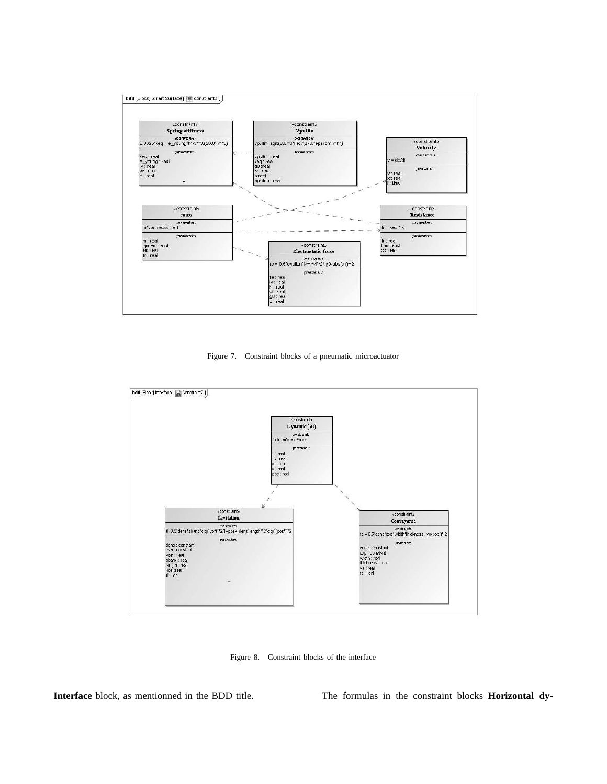

Figure 7. Constraint blocks of a pneumatic microactuator



Figure 8. Constraint blocks of the interface

**Interface** block, as mentionned in the BDD title. The formulas in the constraint blocks **Horizontal dy-**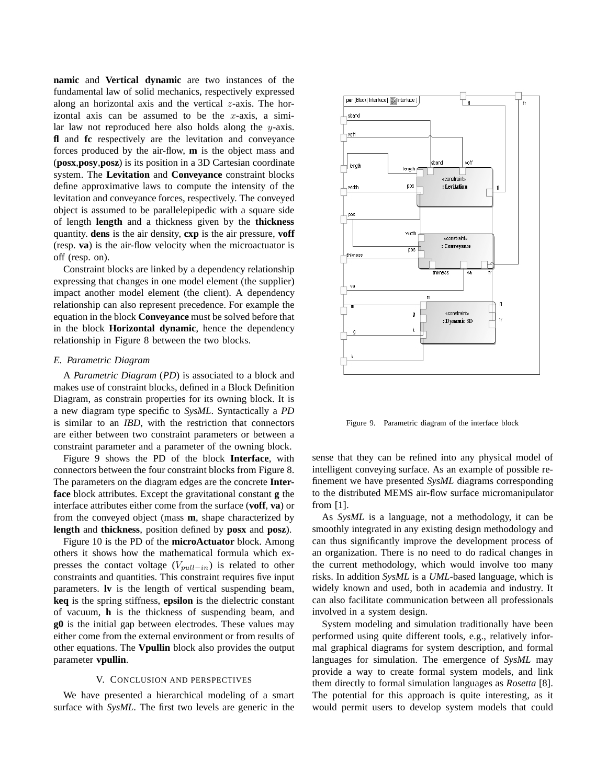**namic** and **Vertical dynamic** are two instances of the fundamental law of solid mechanics, respectively expressed along an horizontal axis and the vertical  $z$ -axis. The horizontal axis can be assumed to be the  $x$ -axis, a similar law not reproduced here also holds along the y-axis. **fl** and **fc** respectively are the levitation and conveyance forces produced by the air-flow, **m** is the object mass and (**posx**,**posy**,**posz**) is its position in a 3D Cartesian coordinate system. The **Levitation** and **Conveyance** constraint blocks define approximative laws to compute the intensity of the levitation and conveyance forces, respectively. The conveyed object is assumed to be parallelepipedic with a square side of length **length** and a thickness given by the **thickness** quantity. **dens** is the air density, **cxp** is the air pressure, **voff** (resp. **va**) is the air-flow velocity when the microactuator is off (resp. on).

Constraint blocks are linked by a dependency relationship expressing that changes in one model element (the supplier) impact another model element (the client). A dependency relationship can also represent precedence. For example the equation in the block **Conveyance** must be solved before that in the block **Horizontal dynamic**, hence the dependency relationship in Figure 8 between the two blocks.

#### *E. Parametric Diagram*

A *Parametric Diagram* (*PD*) is associated to a block and makes use of constraint blocks, defined in a Block Definition Diagram, as constrain properties for its owning block. It is a new diagram type specific to *SysML*. Syntactically a *PD* is similar to an *IBD*, with the restriction that connectors are either between two constraint parameters or between a constraint parameter and a parameter of the owning block.

Figure 9 shows the PD of the block **Interface**, with connectors between the four constraint blocks from Figure 8. The parameters on the diagram edges are the concrete **Interface** block attributes. Except the gravitational constant **g** the interface attributes either come from the surface (**voff**, **va**) or from the conveyed object (mass **m**, shape characterized by **length** and **thickness**, position defined by **posx** and **posz**).

Figure 10 is the PD of the **microActuator** block. Among others it shows how the mathematical formula which expresses the contact voltage ( $V_{pull-in}$ ) is related to other constraints and quantities. This constraint requires five input parameters. **lv** is the length of vertical suspending beam, **keq** is the spring stiffness, **epsilon** is the dielectric constant of vacuum, **h** is the thickness of suspending beam, and **g0** is the initial gap between electrodes. These values may either come from the external environment or from results of other equations. The **Vpullin** block also provides the output parameter **vpullin**.

#### V. CONCLUSION AND PERSPECTIVES

We have presented a hierarchical modeling of a smart surface with *SysML*. The first two levels are generic in the



Figure 9. Parametric diagram of the interface block

sense that they can be refined into any physical model of intelligent conveying surface. As an example of possible refinement we have presented *SysML* diagrams corresponding to the distributed MEMS air-flow surface micromanipulator from [1].

As *SysML* is a language, not a methodology, it can be smoothly integrated in any existing design methodology and can thus significantly improve the development process of an organization. There is no need to do radical changes in the current methodology, which would involve too many risks. In addition *SysML* is a *UML*-based language, which is widely known and used, both in academia and industry. It can also facilitate communication between all professionals involved in a system design.

System modeling and simulation traditionally have been performed using quite different tools, e.g., relatively informal graphical diagrams for system description, and formal languages for simulation. The emergence of *SysML* may provide a way to create formal system models, and link them directly to formal simulation languages as *Rosetta* [8]. The potential for this approach is quite interesting, as it would permit users to develop system models that could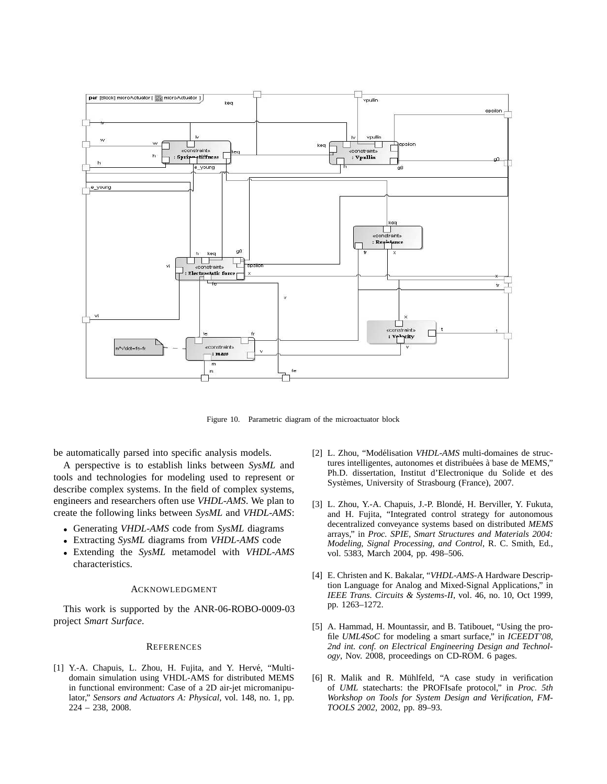

Figure 10. Parametric diagram of the microactuator block

be automatically parsed into specific analysis models.

A perspective is to establish links between *SysML* and tools and technologies for modeling used to represent or describe complex systems. In the field of complex systems, engineers and researchers often use *VHDL-AMS*. We plan to create the following links between *SysML* and *VHDL-AMS*:

- Generating *VHDL-AMS* code from *SysML* diagrams
- Extracting *SysML* diagrams from *VHDL-AMS* code
- Extending the *SysML* metamodel with *VHDL-AMS* characteristics.

#### ACKNOWLEDGMENT

This work is supported by the ANR-06-ROBO-0009-03 project *Smart Surface*.

#### **REFERENCES**

[1] Y.-A. Chapuis, L. Zhou, H. Fujita, and Y. Hervé, "Multidomain simulation using VHDL-AMS for distributed MEMS in functional environment: Case of a 2D air-jet micromanipulator," *Sensors and Actuators A: Physical*, vol. 148, no. 1, pp. 224 – 238, 2008.

- [2] L. Zhou, "Modélisation *VHDL-AMS* multi-domaines de structures intelligentes, autonomes et distribuées à base de MEMS," Ph.D. dissertation, Institut d'Electronique du Solide et des Systèmes, University of Strasbourg (France), 2007.
- [3] L. Zhou, Y.-A. Chapuis, J.-P. Blondé, H. Berviller, Y. Fukuta, and H. Fujita, "Integrated control strategy for autonomous decentralized conveyance systems based on distributed *MEMS* arrays," in *Proc. SPIE, Smart Structures and Materials 2004: Modeling, Signal Processing, and Control*, R. C. Smith, Ed., vol. 5383, March 2004, pp. 498–506.
- [4] E. Christen and K. Bakalar, "*VHDL-AMS*-A Hardware Description Language for Analog and Mixed-Signal Applications," in *IEEE Trans. Circuits & Systems-II*, vol. 46, no. 10, Oct 1999, pp. 1263–1272.
- [5] A. Hammad, H. Mountassir, and B. Tatibouet, "Using the profile *UML4SoC* for modeling a smart surface," in *ICEEDT'08, 2nd int. conf. on Electrical Engineering Design and Technology*, Nov. 2008, proceedings on CD-ROM. 6 pages.
- [6] R. Malik and R. Mühlfeld, "A case study in verification of *UML* statecharts: the PROFIsafe protocol," in *Proc. 5th Workshop on Tools for System Design and Verification, FM-TOOLS 2002*, 2002, pp. 89–93.